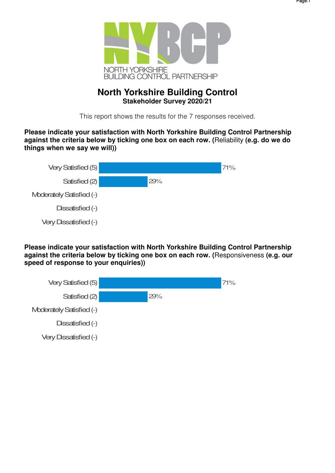

# **North Yorkshire Building Control Stakeholder Survey 2020/21**

This report shows the results for the 7 responses received.

**Please indicate your satisfaction with North Yorkshire Building Control Partnership against the criteria below by ticking one box on each row. (**Reliability **(e.g. do we do things when we say we will))**

| Very Satisfied (5)       |     | 71% |
|--------------------------|-----|-----|
| Satisfied (2)            | 29% |     |
| Moderately Satisfied (-) |     |     |
| Dissatisfied (-)         |     |     |
| Very Dissatisfied (-)    |     |     |

**Please indicate your satisfaction with North Yorkshire Building Control Partnership against the criteria below by ticking one box on each row. (**Responsiveness **(e.g. our speed of response to your enquiries))**

| Very Satisfied (5)           |     | 71% |
|------------------------------|-----|-----|
| Satisfied (2)                | 29% |     |
| Moderately Satisfied (-)     |     |     |
| Dissatisfied (-)             |     |     |
| <b>Very Dissatisfied (-)</b> |     |     |
|                              |     |     |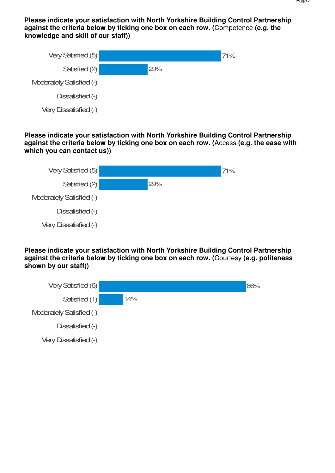**Please indicate your satisfaction with North Yorkshire Building Control Partnership against the criteria below by ticking one box on each row. (**Competence **(e.g. the knowledge and skill of our staff))**

| Very Satisfied (5)       |     | 71% |
|--------------------------|-----|-----|
| Satisfied (2)            | 29% |     |
| Moderately Satisfied (-) |     |     |
| Dissatisfied (-)         |     |     |
| Very Dissatisfied (-)    |     |     |

**Please indicate your satisfaction with North Yorkshire Building Control Partnership against the criteria below by ticking one box on each row. (**Access **(e.g. the ease with which you can contact us))**



**Please indicate your satisfaction with North Yorkshire Building Control Partnership against the criteria below by ticking one box on each row. (**Courtesy **(e.g. politeness shown by our staff))**

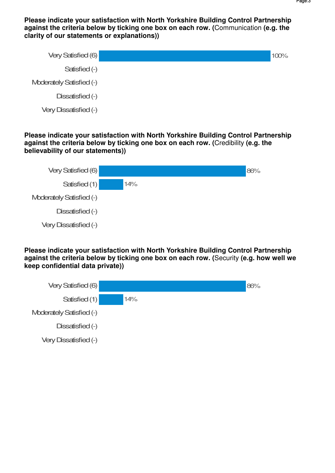**Please indicate your satisfaction with North Yorkshire Building Control Partnership against the criteria below by ticking one box on each row. (**Communication **(e.g. the clarity of our statements or explanations))**

| Very Satisfied (6)           | 100% |
|------------------------------|------|
| Satisfied (-)                |      |
| Moderately Satisfied (-)     |      |
| Dissatisfied (-)             |      |
| <b>Very Dissatisfied (-)</b> |      |

**Please indicate your satisfaction with North Yorkshire Building Control Partnership against the criteria below by ticking one box on each row. (**Credibility **(e.g. the believability of our statements))**



**Please indicate your satisfaction with North Yorkshire Building Control Partnership against the criteria below by ticking one box on each row. (**Security **(e.g. how well we keep confidential data private))**

| Very Satisfied (6)       |     | 86% |
|--------------------------|-----|-----|
| Satisfied (1)            | 14% |     |
| Moderately Satisfied (-) |     |     |
| Dissatisfied (-)         |     |     |
| Very Dissatisfied (-)    |     |     |
|                          |     |     |